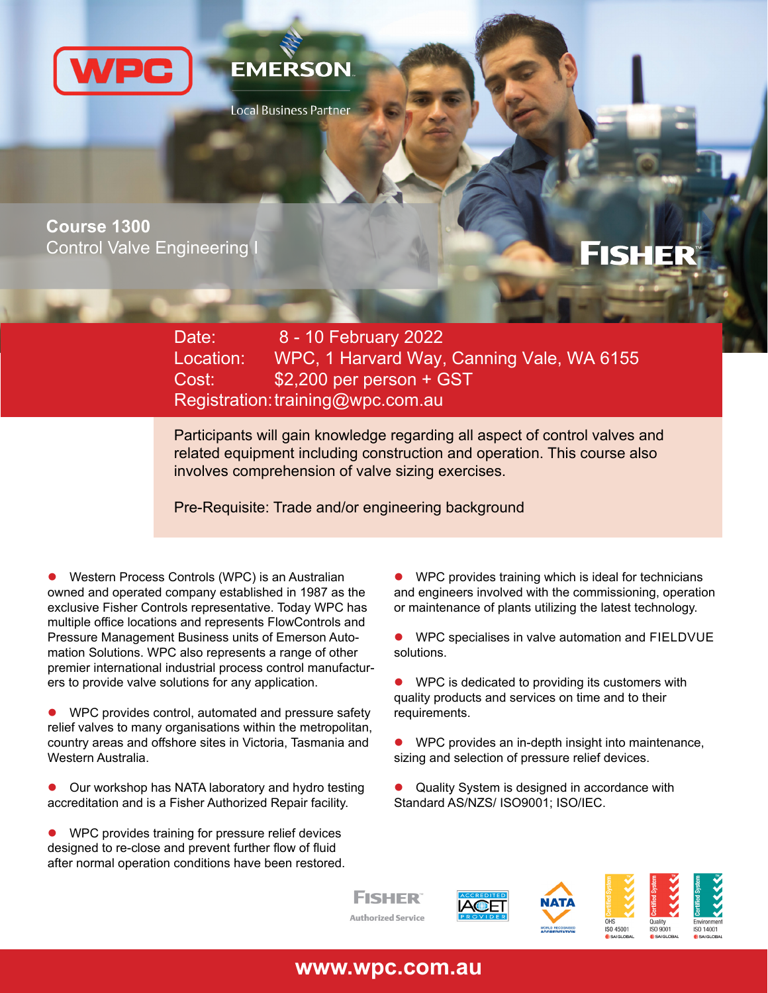



Local Business Partner

**Course 1300 Control Valve Engineering** 

# **FISHER**

Date: Location: WPC, 1 Harvard Way, Canning Vale, WA 6155 Cost: \$2,200 per person + GST Registration: training@wpc.com.au 8 - 10 February 2022

Participants will gain knowledge regarding all aspect of control valves and related equipment including construction and operation. This course also involves comprehension of valve sizing exercises.

Pre-Requisite: Trade and/or engineering background

 Western Process Controls (WPC) is an Australian owned and operated company established in 1987 as the exclusive Fisher Controls representative. Today WPC has multiple office locations and represents FlowControls and Pressure Management Business units of Emerson Automation Solutions. WPC also represents a range of other premier international industrial process control manufacturers to provide valve solutions for any application.

● WPC provides control, automated and pressure safety relief valves to many organisations within the metropolitan, country areas and offshore sites in Victoria, Tasmania and Western Australia.

 Our workshop has NATA laboratory and hydro testing accreditation and is a Fisher Authorized Repair facility.

 WPC provides training for pressure relief devices designed to re-close and prevent further flow of fluid after normal operation conditions have been restored.  WPC provides training which is ideal for technicians and engineers involved with the commissioning, operation or maintenance of plants utilizing the latest technology.

 WPC specialises in valve automation and FIELDVUE solutions.

 WPC is dedicated to providing its customers with quality products and services on time and to their requirements.

 WPC provides an in-depth insight into maintenance, sizing and selection of pressure relief devices.

 Quality System is designed in accordance with Standard AS/NZS/ ISO9001; ISO/IEC.



**www.wpc.com.au**